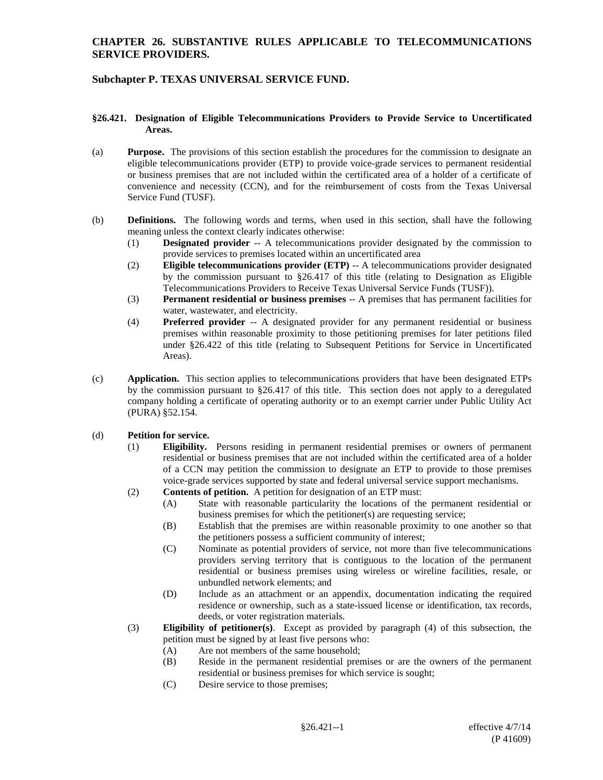## **Subchapter P. TEXAS UNIVERSAL SERVICE FUND.**

#### **§26.421. Designation of Eligible Telecommunications Providers to Provide Service to Uncertificated Areas.**

- (a) **Purpose.** The provisions of this section establish the procedures for the commission to designate an eligible telecommunications provider (ETP) to provide voice-grade services to permanent residential or business premises that are not included within the certificated area of a holder of a certificate of convenience and necessity (CCN), and for the reimbursement of costs from the Texas Universal Service Fund (TUSF).
- (b) **Definitions.** The following words and terms, when used in this section, shall have the following meaning unless the context clearly indicates otherwise:
	- (1) **Designated provider** -- A telecommunications provider designated by the commission to provide services to premises located within an uncertificated area
	- (2) **Eligible telecommunications provider (ETP)** -- A telecommunications provider designated by the commission pursuant to §26.417 of this title (relating to Designation as Eligible Telecommunications Providers to Receive Texas Universal Service Funds (TUSF)).
	- (3) **Permanent residential or business premises** -- A premises that has permanent facilities for water, wastewater, and electricity.
	- (4) **Preferred provider** -- A designated provider for any permanent residential or business premises within reasonable proximity to those petitioning premises for later petitions filed under §26.422 of this title (relating to Subsequent Petitions for Service in Uncertificated Areas).
- (c) **Application.** This section applies to telecommunications providers that have been designated ETPs by the commission pursuant to §26.417 of this title. This section does not apply to a deregulated company holding a certificate of operating authority or to an exempt carrier under Public Utility Act (PURA) §52.154.

### (d) **Petition for service.**

- (1) **Eligibility.** Persons residing in permanent residential premises or owners of permanent residential or business premises that are not included within the certificated area of a holder of a CCN may petition the commission to designate an ETP to provide to those premises voice-grade services supported by state and federal universal service support mechanisms.
- (2) **Contents of petition.** A petition for designation of an ETP must:
	- (A) State with reasonable particularity the locations of the permanent residential or business premises for which the petitioner(s) are requesting service;
	- (B) Establish that the premises are within reasonable proximity to one another so that the petitioners possess a sufficient community of interest;
	- (C) Nominate as potential providers of service, not more than five telecommunications providers serving territory that is contiguous to the location of the permanent residential or business premises using wireless or wireline facilities, resale, or unbundled network elements; and
	- (D) Include as an attachment or an appendix, documentation indicating the required residence or ownership, such as a state-issued license or identification, tax records, deeds, or voter registration materials.
- (3) **Eligibility of petitioner(s)**. Except as provided by paragraph (4) of this subsection, the petition must be signed by at least five persons who:
	- (A) Are not members of the same household;
	- (B) Reside in the permanent residential premises or are the owners of the permanent residential or business premises for which service is sought;
	- (C) Desire service to those premises;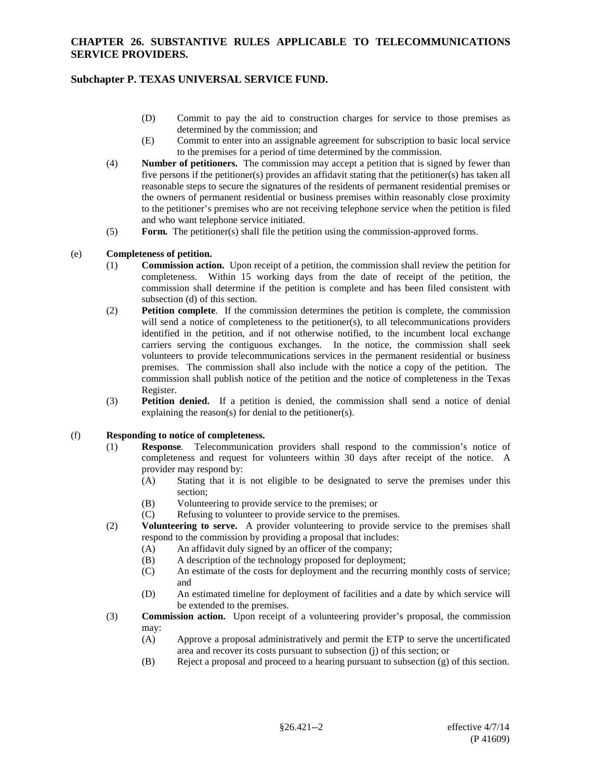## **Subchapter P. TEXAS UNIVERSAL SERVICE FUND.**

- (D) Commit to pay the aid to construction charges for service to those premises as determined by the commission; and
- (E) Commit to enter into an assignable agreement for subscription to basic local service to the premises for a period of time determined by the commission.
- (4) **Number of petitioners.** The commission may accept a petition that is signed by fewer than five persons if the petitioner(s) provides an affidavit stating that the petitioner(s) has taken all reasonable steps to secure the signatures of the residents of permanent residential premises or the owners of permanent residential or business premises within reasonably close proximity to the petitioner's premises who are not receiving telephone service when the petition is filed and who want telephone service initiated.
- (5) **Form.** The petitioner(s) shall file the petition using the commission-approved forms.

#### (e) **Completeness of petition.**

- (1) **Commission action.** Upon receipt of a petition, the commission shall review the petition for completeness. Within 15 working days from the date of receipt of the petition, the commission shall determine if the petition is complete and has been filed consistent with subsection (d) of this section.
- (2) **Petition complete**. If the commission determines the petition is complete, the commission will send a notice of completeness to the petitioner(s), to all telecommunications providers identified in the petition, and if not otherwise notified, to the incumbent local exchange carriers serving the contiguous exchanges. In the notice, the commission shall seek volunteers to provide telecommunications services in the permanent residential or business premises. The commission shall also include with the notice a copy of the petition. The commission shall publish notice of the petition and the notice of completeness in the Texas Register.
- (3) **Petition denied.** If a petition is denied, the commission shall send a notice of denial explaining the reason(s) for denial to the petitioner(s).

#### (f) **Responding to notice of completeness.**

- (1) **Response**. Telecommunication providers shall respond to the commission's notice of completeness and request for volunteers within 30 days after receipt of the notice. A provider may respond by:
	- (A) Stating that it is not eligible to be designated to serve the premises under this section;
	- (B) Volunteering to provide service to the premises; or
	- (C) Refusing to volunteer to provide service to the premises.
- (2) **Volunteering to serve.** A provider volunteering to provide service to the premises shall respond to the commission by providing a proposal that includes:
	- (A) An affidavit duly signed by an officer of the company;
	- (B) A description of the technology proposed for deployment;
	- (C) An estimate of the costs for deployment and the recurring monthly costs of service; and
	- (D) An estimated timeline for deployment of facilities and a date by which service will be extended to the premises.
- (3) **Commission action.** Upon receipt of a volunteering provider's proposal, the commission may:
	- (A) Approve a proposal administratively and permit the ETP to serve the uncertificated area and recover its costs pursuant to subsection (j) of this section; or
	- (B) Reject a proposal and proceed to a hearing pursuant to subsection (g) of this section.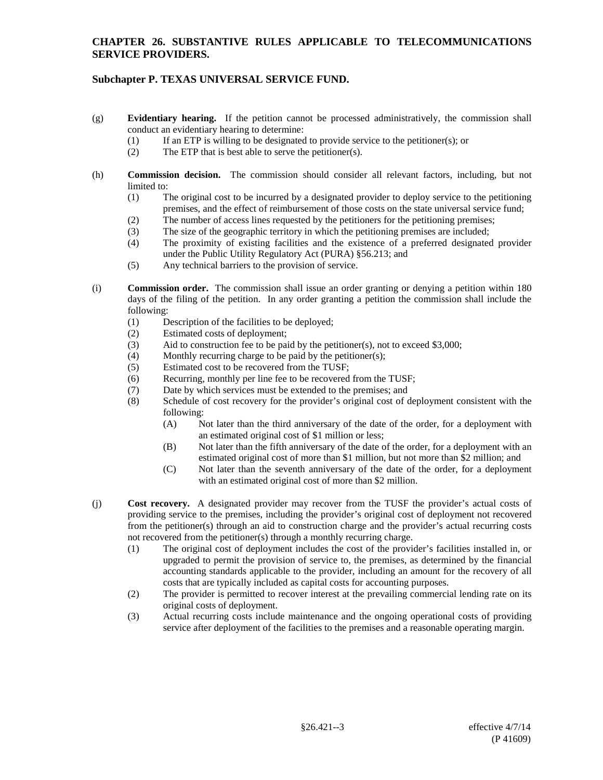# **Subchapter P. TEXAS UNIVERSAL SERVICE FUND.**

- (g) **Evidentiary hearing.** If the petition cannot be processed administratively, the commission shall conduct an evidentiary hearing to determine:
	- (1) If an ETP is willing to be designated to provide service to the petitioner(s); or
	- (2) The ETP that is best able to serve the petitioner(s).
- (h) **Commission decision.** The commission should consider all relevant factors, including, but not limited to:
	- (1) The original cost to be incurred by a designated provider to deploy service to the petitioning premises, and the effect of reimbursement of those costs on the state universal service fund;
	- (2) The number of access lines requested by the petitioners for the petitioning premises;
	- (3) The size of the geographic territory in which the petitioning premises are included;
	- (4) The proximity of existing facilities and the existence of a preferred designated provider under the Public Utility Regulatory Act (PURA) §56.213; and
	- (5) Any technical barriers to the provision of service.
- (i) **Commission order.** The commission shall issue an order granting or denying a petition within 180 days of the filing of the petition. In any order granting a petition the commission shall include the following:
	- (1) Description of the facilities to be deployed;
	- (2) Estimated costs of deployment;
	- (3) Aid to construction fee to be paid by the petitioner(s), not to exceed \$3,000;
	- (4) Monthly recurring charge to be paid by the petitioner(s);
	- (5) Estimated cost to be recovered from the TUSF;
	- (6) Recurring, monthly per line fee to be recovered from the TUSF;
	- (7) Date by which services must be extended to the premises; and
	- (8) Schedule of cost recovery for the provider's original cost of deployment consistent with the following:
		- (A) Not later than the third anniversary of the date of the order, for a deployment with an estimated original cost of \$1 million or less;
		- (B) Not later than the fifth anniversary of the date of the order, for a deployment with an estimated original cost of more than \$1 million, but not more than \$2 million; and
		- (C) Not later than the seventh anniversary of the date of the order, for a deployment with an estimated original cost of more than \$2 million.
- (j) **Cost recovery.** A designated provider may recover from the TUSF the provider's actual costs of providing service to the premises, including the provider's original cost of deployment not recovered from the petitioner(s) through an aid to construction charge and the provider's actual recurring costs not recovered from the petitioner(s) through a monthly recurring charge.
	- (1) The original cost of deployment includes the cost of the provider's facilities installed in, or upgraded to permit the provision of service to, the premises, as determined by the financial accounting standards applicable to the provider, including an amount for the recovery of all costs that are typically included as capital costs for accounting purposes.
	- (2) The provider is permitted to recover interest at the prevailing commercial lending rate on its original costs of deployment.
	- (3) Actual recurring costs include maintenance and the ongoing operational costs of providing service after deployment of the facilities to the premises and a reasonable operating margin.